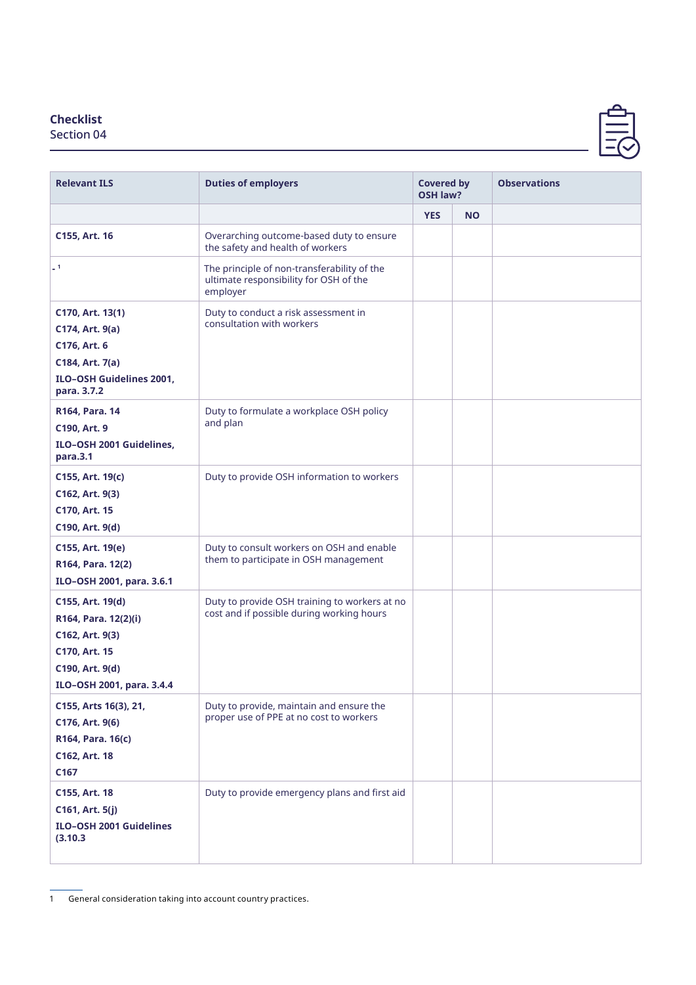## **Checklist**

Section 04

| <b>Relevant ILS</b>                                                                                                          | <b>Duties of employers</b>                                                                        | <b>Covered by</b><br><b>OSH law?</b> |           | <b>Observations</b> |
|------------------------------------------------------------------------------------------------------------------------------|---------------------------------------------------------------------------------------------------|--------------------------------------|-----------|---------------------|
|                                                                                                                              |                                                                                                   | <b>YES</b>                           | <b>NO</b> |                     |
| C155, Art. 16                                                                                                                | Overarching outcome-based duty to ensure<br>the safety and health of workers                      |                                      |           |                     |
| $-1$                                                                                                                         | The principle of non-transferability of the<br>ultimate responsibility for OSH of the<br>employer |                                      |           |                     |
| C170, Art. 13(1)<br>C174, Art. 9(a)<br>C176, Art. 6<br>C184, Art. 7(a)<br>ILO-OSH Guidelines 2001,<br>para. 3.7.2            | Duty to conduct a risk assessment in<br>consultation with workers                                 |                                      |           |                     |
| R164, Para. 14<br>C190, Art. 9<br>ILO-OSH 2001 Guidelines,<br>para.3.1                                                       | Duty to formulate a workplace OSH policy<br>and plan                                              |                                      |           |                     |
| C155, Art. 19(c)<br>C162, Art. 9(3)<br>C170, Art. 15<br>C190, Art. 9(d)                                                      | Duty to provide OSH information to workers                                                        |                                      |           |                     |
| C155, Art. 19(e)<br>R164, Para. 12(2)<br>ILO-OSH 2001, para. 3.6.1                                                           | Duty to consult workers on OSH and enable<br>them to participate in OSH management                |                                      |           |                     |
| C155, Art. 19(d)<br>R164, Para. 12(2)(i)<br>C162, Art. 9(3)<br>C170, Art. 15<br>C190, Art. 9(d)<br>ILO-OSH 2001, para. 3.4.4 | Duty to provide OSH training to workers at no<br>cost and if possible during working hours        |                                      |           |                     |
| C155, Arts 16(3), 21,<br>C176, Art. 9(6)<br>R164, Para. 16(c)<br>C162, Art. 18<br>C167                                       | Duty to provide, maintain and ensure the<br>proper use of PPE at no cost to workers               |                                      |           |                     |
| C155, Art. 18<br>C161, Art. 5(j)<br><b>ILO-OSH 2001 Guidelines</b><br>(3.10.3)                                               | Duty to provide emergency plans and first aid                                                     |                                      |           |                     |

<sup>1</sup> General consideration taking into account country practices.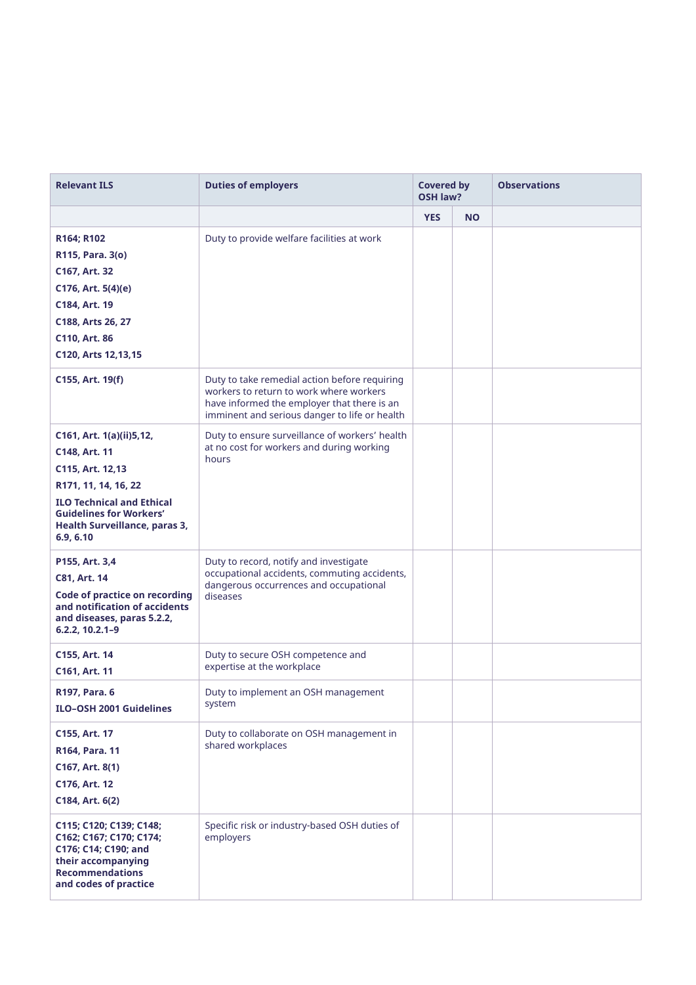| <b>Relevant ILS</b>                                                                                                                                                                                       | <b>Duties of employers</b>                                                                                                                                                               | <b>Covered by</b><br><b>OSH law?</b> |           | <b>Observations</b> |
|-----------------------------------------------------------------------------------------------------------------------------------------------------------------------------------------------------------|------------------------------------------------------------------------------------------------------------------------------------------------------------------------------------------|--------------------------------------|-----------|---------------------|
|                                                                                                                                                                                                           |                                                                                                                                                                                          | <b>YES</b>                           | <b>NO</b> |                     |
| R164; R102<br>R115, Para. 3(o)<br>C167, Art. 32<br>C176, Art. 5(4)(e)<br>C184, Art. 19<br>C188, Arts 26, 27<br>C110, Art. 86<br>C120, Arts 12, 13, 15                                                     | Duty to provide welfare facilities at work                                                                                                                                               |                                      |           |                     |
| C155, Art. 19(f)                                                                                                                                                                                          | Duty to take remedial action before requiring<br>workers to return to work where workers<br>have informed the employer that there is an<br>imminent and serious danger to life or health |                                      |           |                     |
| C161, Art. 1(a)(ii)5,12,<br>C148, Art. 11<br>C115, Art. 12,13<br>R171, 11, 14, 16, 22<br><b>ILO Technical and Ethical</b><br><b>Guidelines for Workers'</b><br>Health Surveillance, paras 3,<br>6.9, 6.10 | Duty to ensure surveillance of workers' health<br>at no cost for workers and during working<br>hours                                                                                     |                                      |           |                     |
| P155, Art. 3,4<br>C81, Art. 14<br><b>Code of practice on recording</b><br>and notification of accidents<br>and diseases, paras 5.2.2,<br>6.2.2, 10.2.1-9                                                  | Duty to record, notify and investigate<br>occupational accidents, commuting accidents,<br>dangerous occurrences and occupational<br>diseases                                             |                                      |           |                     |
| C155, Art. 14<br>C161, Art. 11                                                                                                                                                                            | Duty to secure OSH competence and<br>expertise at the workplace                                                                                                                          |                                      |           |                     |
| R197, Para. 6<br><b>ILO-OSH 2001 Guidelines</b>                                                                                                                                                           | Duty to implement an OSH management<br>system                                                                                                                                            |                                      |           |                     |
| C155, Art. 17<br>R164, Para. 11<br>C167, Art. 8(1)<br>C176, Art. 12<br>C184, Art. 6(2)                                                                                                                    | Duty to collaborate on OSH management in<br>shared workplaces                                                                                                                            |                                      |           |                     |
| C115; C120; C139; C148;<br>C162; C167; C170; C174;<br>C176; C14; C190; and<br>their accompanying<br><b>Recommendations</b><br>and codes of practice                                                       | Specific risk or industry-based OSH duties of<br>employers                                                                                                                               |                                      |           |                     |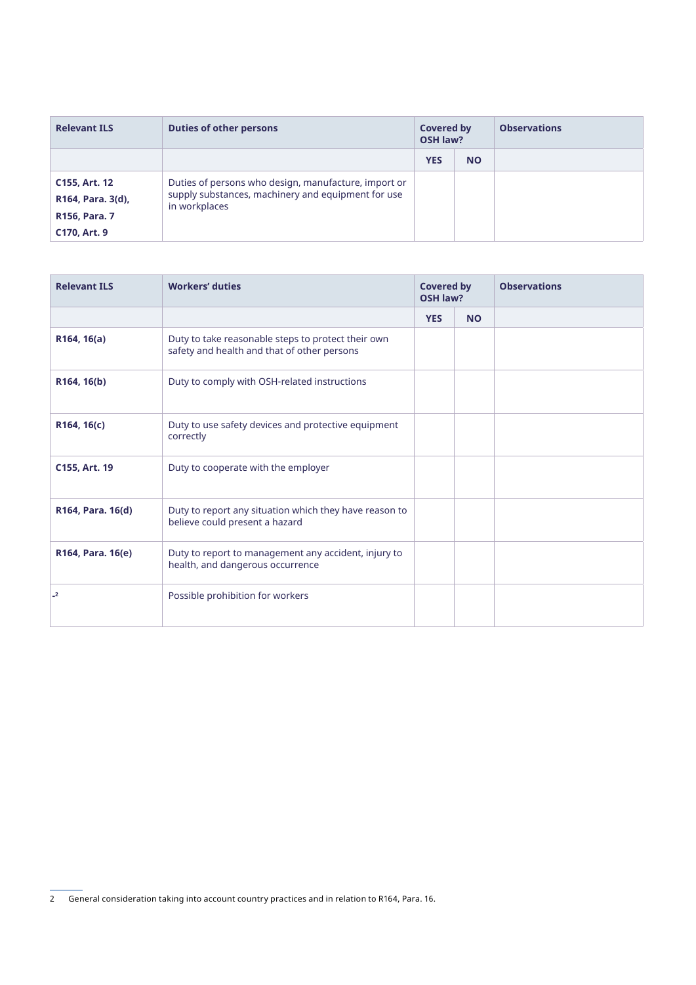| <b>Relevant ILS</b> | <b>Duties of other persons</b>                                      | <b>Covered by</b><br><b>OSH law?</b> |           | <b>Observations</b> |
|---------------------|---------------------------------------------------------------------|--------------------------------------|-----------|---------------------|
|                     |                                                                     | <b>YES</b>                           | <b>NO</b> |                     |
| C155, Art. 12       | Duties of persons who design, manufacture, import or                |                                      |           |                     |
| R164, Para. 3(d),   | supply substances, machinery and equipment for use<br>in workplaces |                                      |           |                     |
| R156, Para. 7       |                                                                     |                                      |           |                     |
| C170, Art. 9        |                                                                     |                                      |           |                     |

| <b>Relevant ILS</b>      | <b>Workers' duties</b>                                                                            | <b>Covered by</b><br><b>OSH law?</b> |           |  |  |  |  |  |  | <b>Observations</b> |
|--------------------------|---------------------------------------------------------------------------------------------------|--------------------------------------|-----------|--|--|--|--|--|--|---------------------|
|                          |                                                                                                   | <b>YES</b>                           | <b>NO</b> |  |  |  |  |  |  |                     |
| R164, 16(a)              | Duty to take reasonable steps to protect their own<br>safety and health and that of other persons |                                      |           |  |  |  |  |  |  |                     |
| R164, 16(b)              | Duty to comply with OSH-related instructions                                                      |                                      |           |  |  |  |  |  |  |                     |
| R164, 16(c)              | Duty to use safety devices and protective equipment<br>correctly                                  |                                      |           |  |  |  |  |  |  |                     |
| C155, Art. 19            | Duty to cooperate with the employer                                                               |                                      |           |  |  |  |  |  |  |                     |
| R164, Para. 16(d)        | Duty to report any situation which they have reason to<br>believe could present a hazard          |                                      |           |  |  |  |  |  |  |                     |
| R164, Para. 16(e)        | Duty to report to management any accident, injury to<br>health, and dangerous occurrence          |                                      |           |  |  |  |  |  |  |                     |
| $\overline{\phantom{0}}$ | Possible prohibition for workers                                                                  |                                      |           |  |  |  |  |  |  |                     |

<sup>2</sup> General consideration taking into account country practices and in relation to R164, Para. 16.